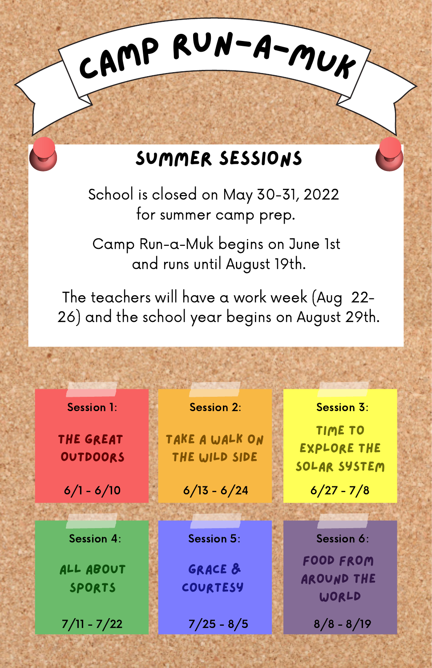### Summer Sessions

CAMP RUN-A-MUK

School is closed on May 30-31, 2022 for summer camp prep.

Camp Run-a-Muk begins on June 1st and runs until August 19th.

The teachers will have a work week (Aug 22- 26) and the school year begins on August 29th.

Session 1: Session 2: Session 3:

The Great Outdoors

All about sports

Take a walk on the wild side

 $6/1 - 6/10$  6/13 - 6/24 6/27 - 7/8

Grace & Courtesy

 $7/11 - 7/22$  7/25 - 8/5 8/8 - 8/19

Food From Session 4: Session 5: Session 6:

Time to Explore the solar system

Around the **WORLD**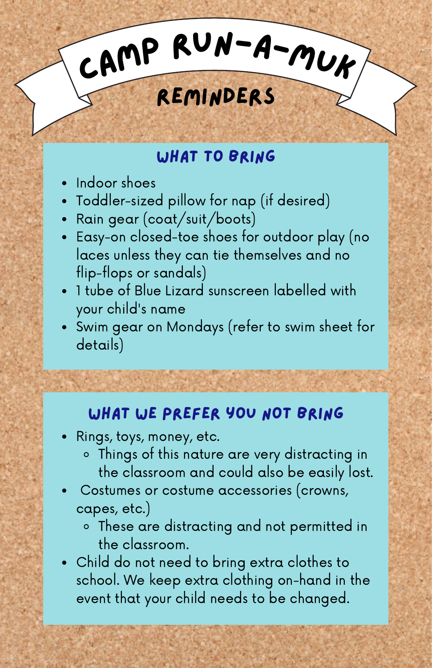# CAMP RUN-A-MUK

# Reminders

### WHAT TO BRING

- Indoor shoes
- Toddler-sized pillow for nap (if desired)
- Rain gear (coat/suit/boots)
- Easy-on closed-toe shoes for outdoor play (no laces unless they can tie themselves and no flip-flops or sandals)
- 1 tube of Blue Lizard sunscreen labelled with your child's name
- Swim gear on Mondays (refer to swim sheet for details)

### what we prefer you not bring

- Rings, toys, money, etc.
	- Things of this nature are very distracting in the classroom and could also be easily lost.
- Costumes or costume accessories (crowns, capes, etc.)
	- These are distracting and not permitted in the classroom.
- Child do not need to bring extra clothes to school. We keep extra clothing on-hand in the event that your child needs to be changed.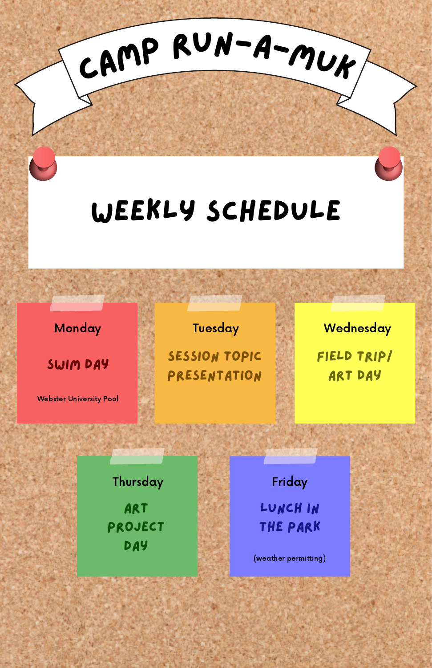# weekly schedule

<sup>C</sup>am<sup>p</sup> <sup>R</sup>un-a-Mu<sup>k</sup>

Monday

swim day

Webster University Pool

#### Tuesday

Session Topic Presentation field trip/ **ART DAY Wednesday** 

**ART** project **DAY Thursday** 

lunch in the park Friday

(weather permitting)